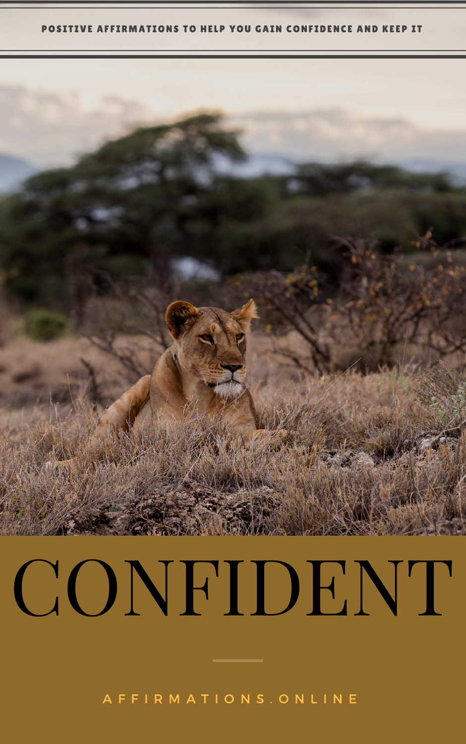#### POSITIVE AFFIRMATIONS TO HELP YOU GAIN CONFIDENCE AND KEEP IT



# CONFIDENT

A F F I R [M](http://www.affirmations.online/) A T I O N S . O N L I N E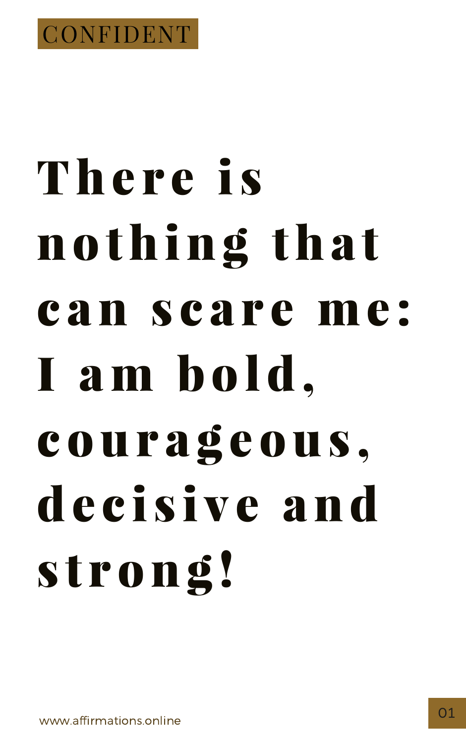

## There is nothing that can scare me: I am bold,

# courageous, decisive and strong!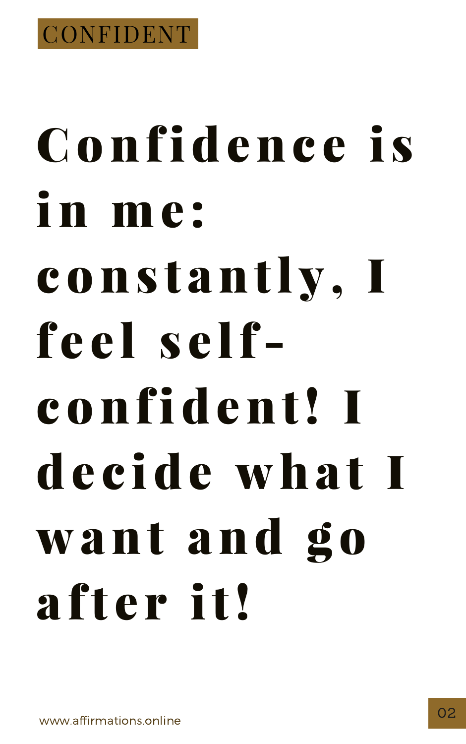

# Confidence is in me: constantly, I feel self-

#### confident! I decide what I want and go after it!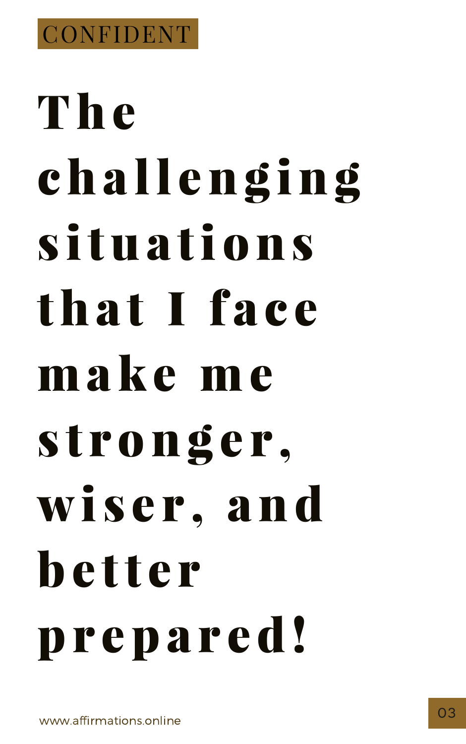

# The challenging situations that I face make me

# stronger, wiser, and hetter prepared!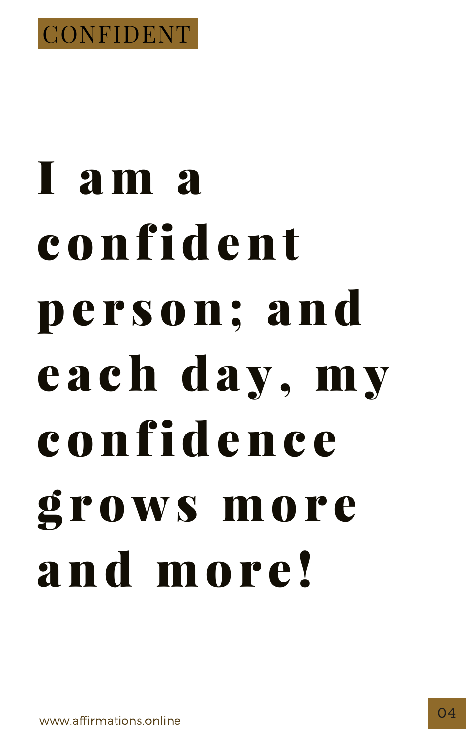

# I am a confident pe r son; and e a ch day, my

## confidenc e grows more and mor e !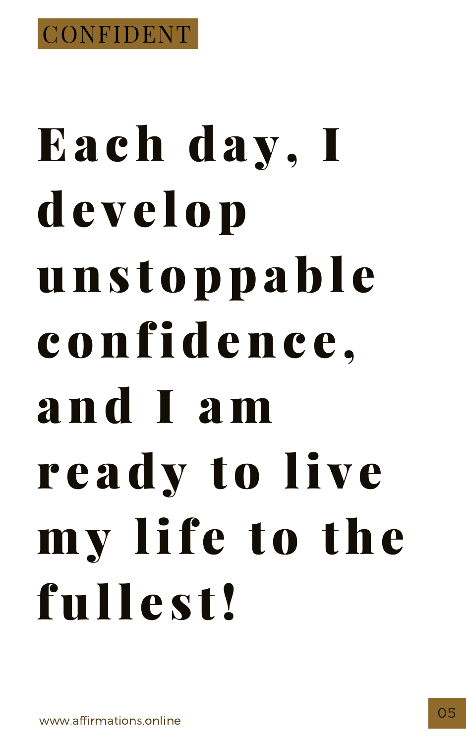

# Each day, I develop unstoppable confidence,

#### and I am ready to live my life to the fullest!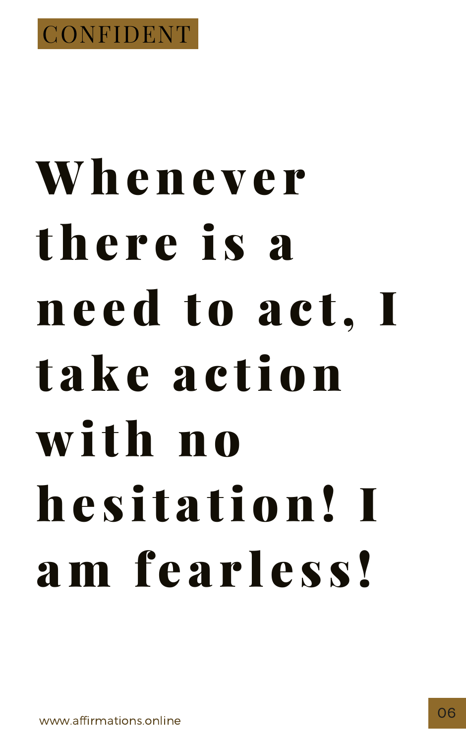

#### Whenever there is a need to act, I take action

## with no hesitation! I am fearless!

www.affirmations.online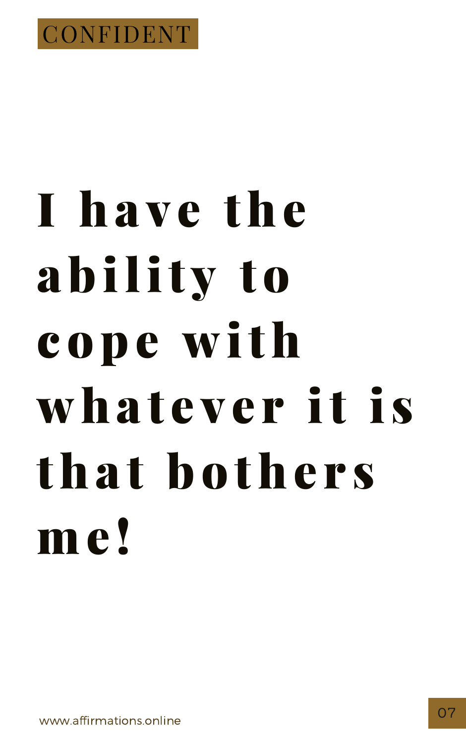

# I have the ability to cope with

#### whatever it is that bothers me!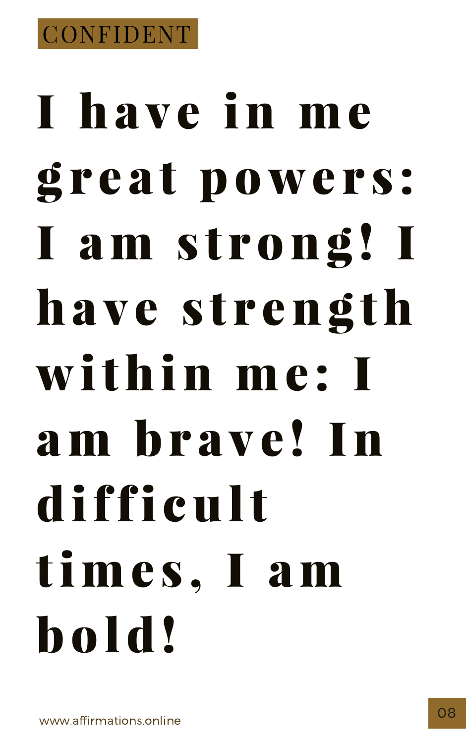# I have in me great powers: I am strong! I have strength within me : I

# am br a v e ! In diffi cult times, I am bold!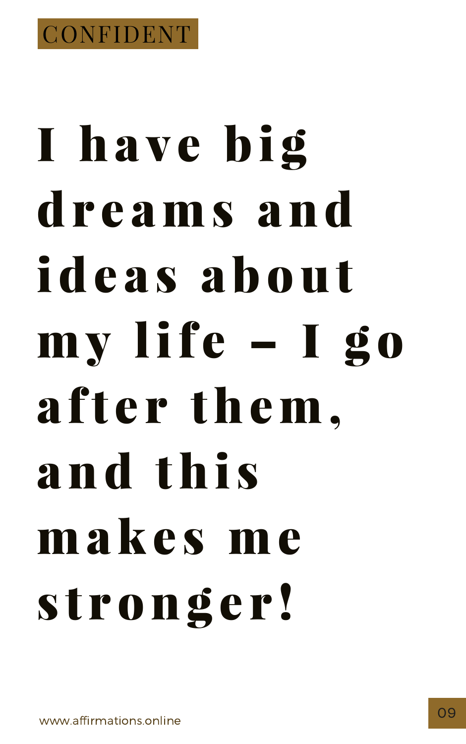

# I have big dreams and ideas about my life - I go after them. and this makes me stronger!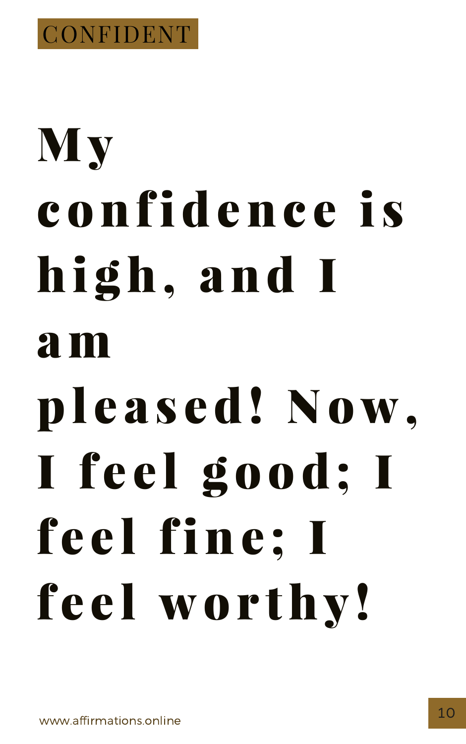

# My confidenc e i s hi gh, and I

#### am

- -

## pleased! Now. I feel good; I feel fine; I feel worthy!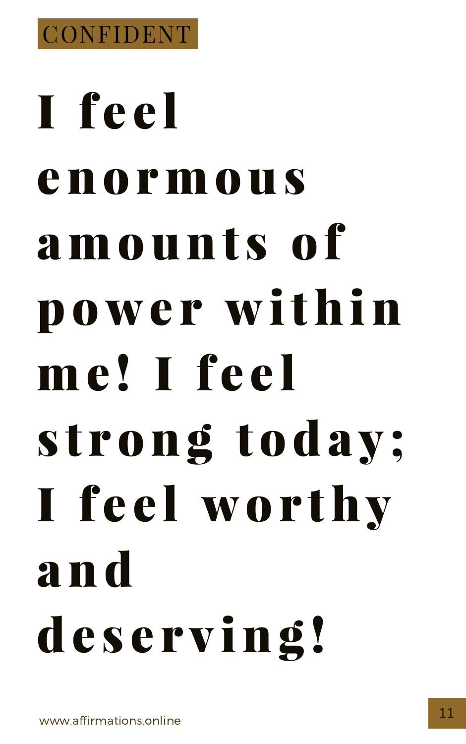

# T feel enormous amounts of power within me! I feel

# strong today; I feel worthy **and** deserving!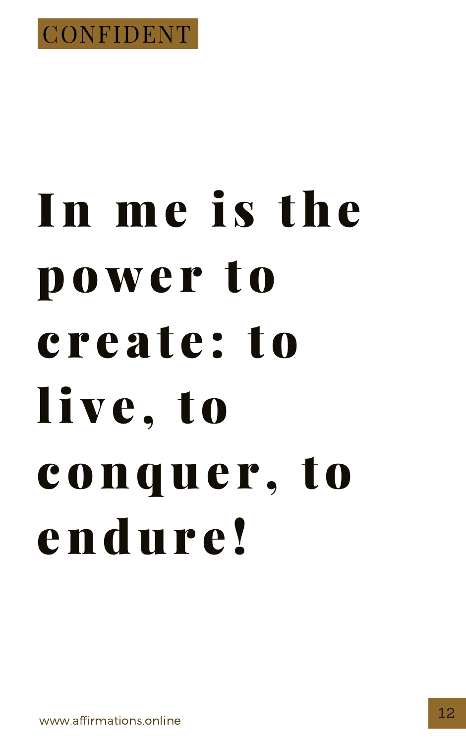

## In me is the power to create: to

#### IIve, to conquer, to endure!

www.affirmations.online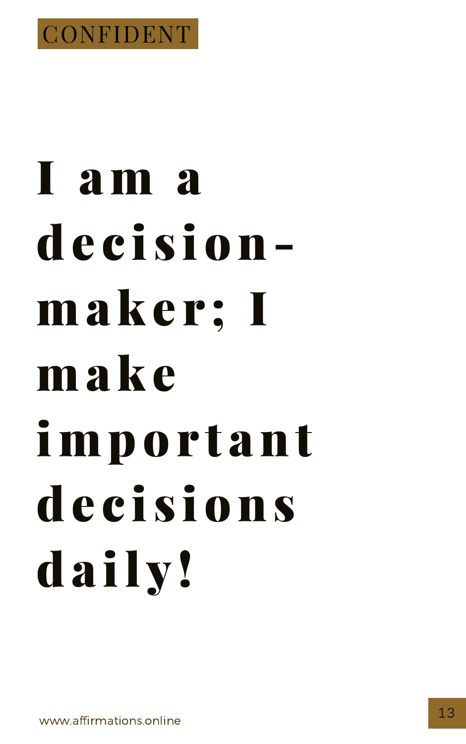

#### I am a decisionmaker; I make

# important decisions daily!

www.affirmations.online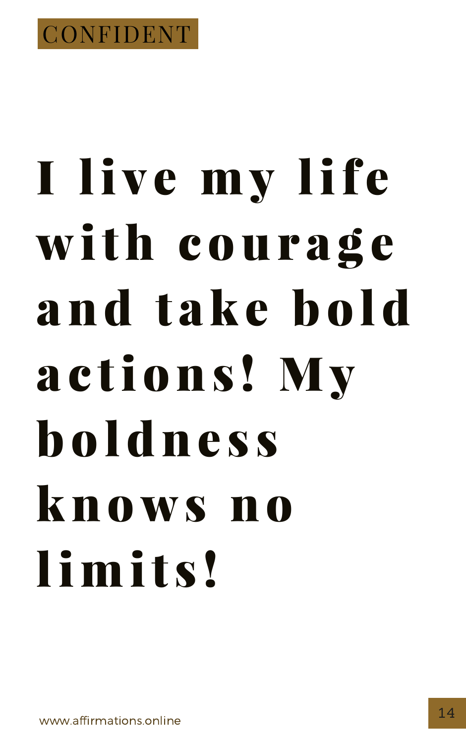

# I live my life with courage and take hold actions! My

# **holdness** Knows no limits!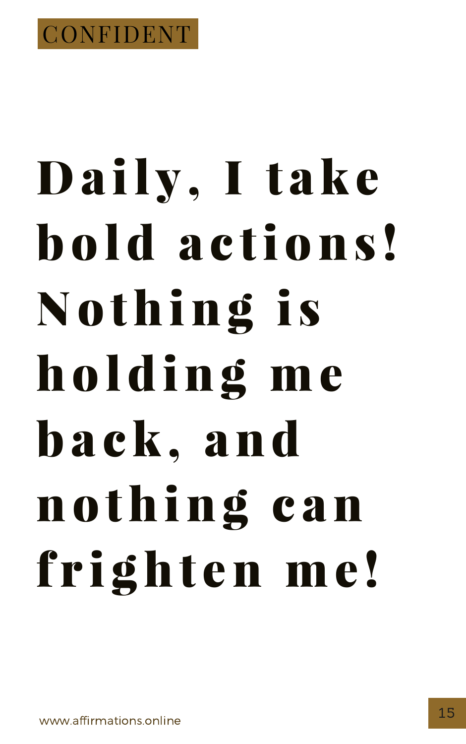

# Daily, I take hold actions! Nothing is holding me

# back, and nothing can frighten me!

www.affirmations.online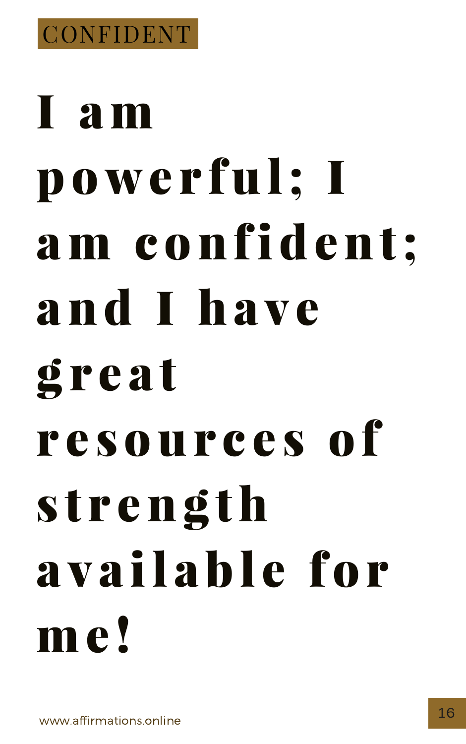

#### r e sour c e s of s t r eng th a v a il abl e for m e !

# I am powe r ful; I am confident; and I ha v e g r e a t

[www.affirmations.online](http://www.affirmations.online/)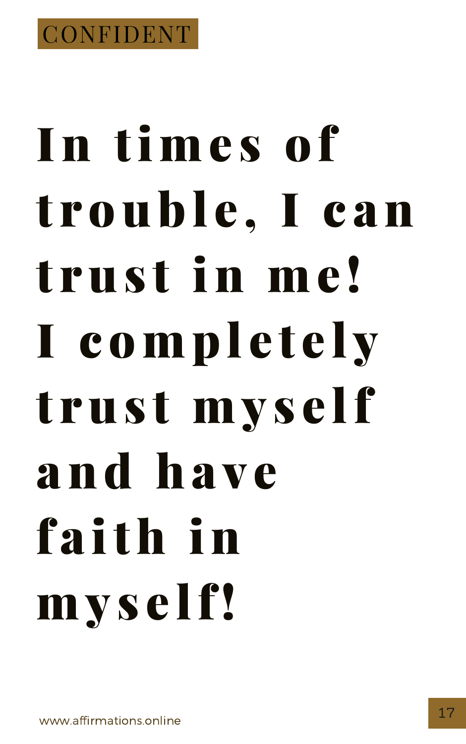

# In times of trouble, I can trust in me! I completely trust myself and have faith in myself!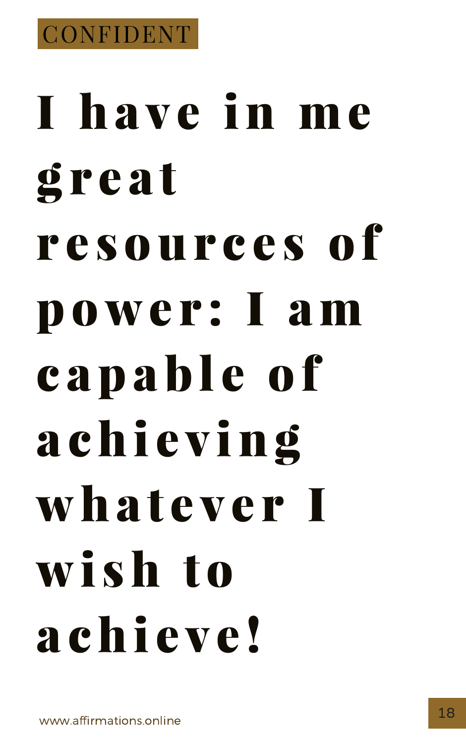

# I have in me g r e a t r e sour c e s of power: I am c a p a b l e o f

# a chi e v ing what e v e r I wi sh to a chi e v e !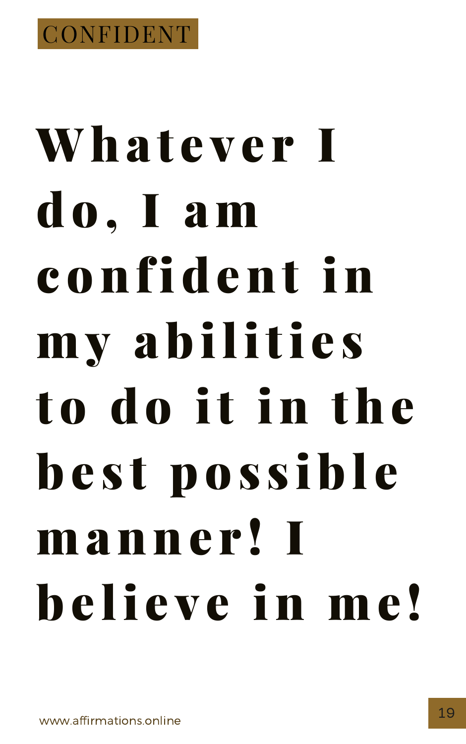

# Whatever I do, I am confident in my abilities

#### to do it in the best possible manner! I believe in me!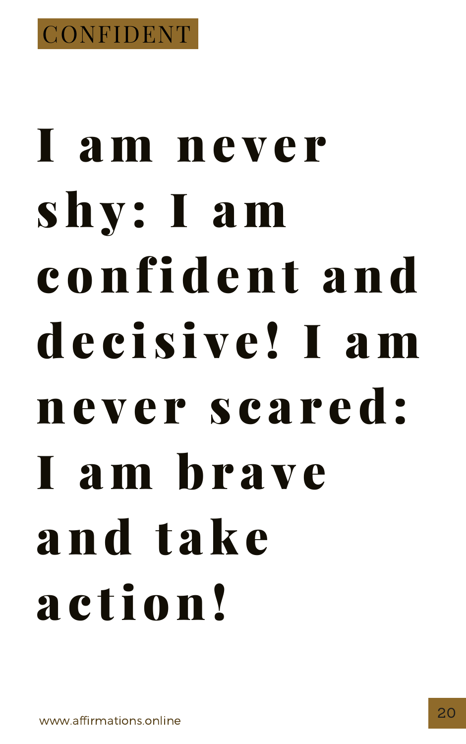

# I am ne v e r shy : I am confident and decisive! I am

#### never scared: I am brave and take a c tion!

[www.affirmations.online](http://www.affirmations.online/)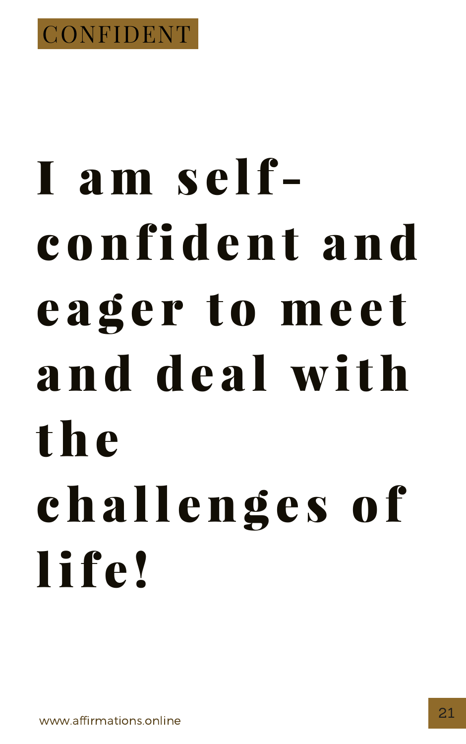

#### I am selfconfident and eager to meet and deal with

#### the challenges of life!

www.affirmations.online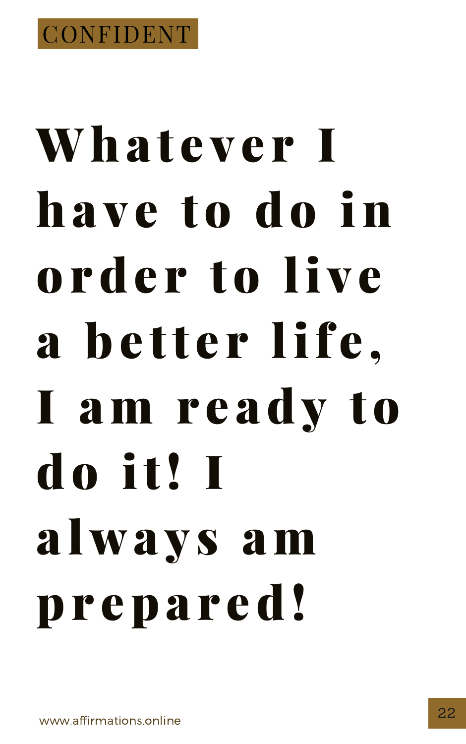

# Whatever I ha v e to do in order to live a better life.

#### I am r e ady to do it! I a lwa y s am prepared!

[www.affirmations.online](http://www.affirmations.online/)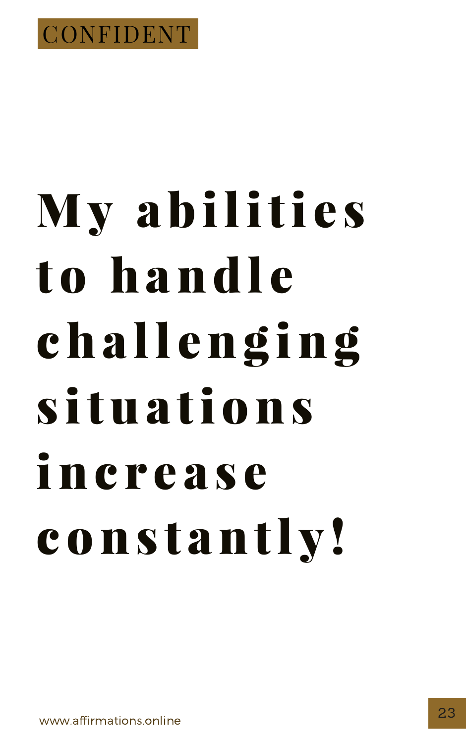

# My abilities to handle challenging

#### situations n e rease constantly!

www.affirmations.online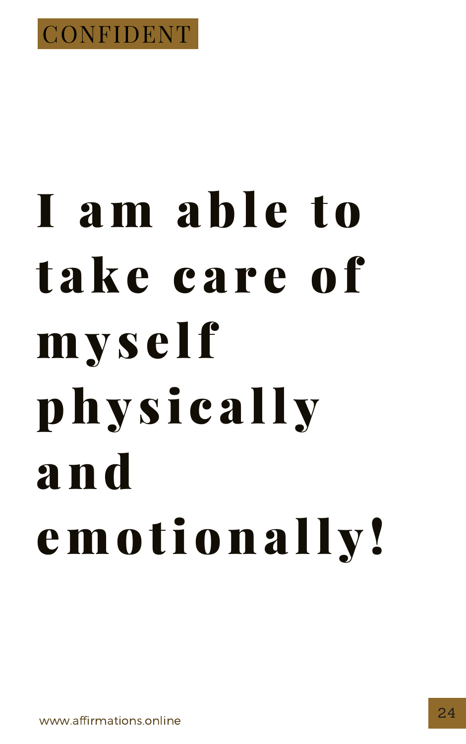

# I am able to take care of myself

#### physically a n d emotionally!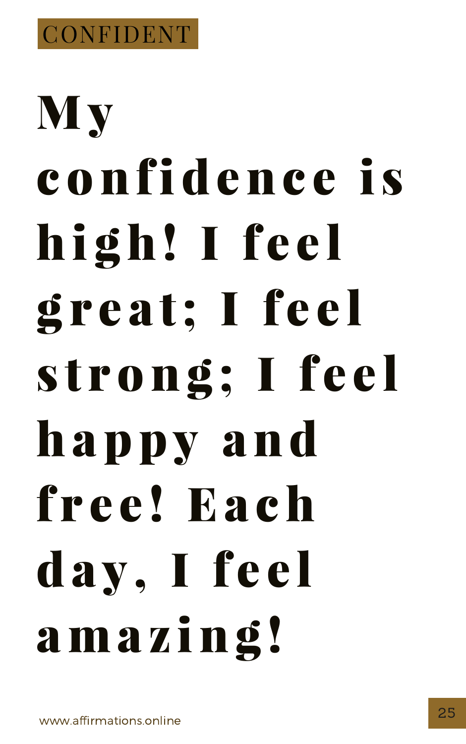

# My confidence is high! I feel great; I feel strong; I feel

# happy and free! Each day, I feel ama z ing !

[www.affirmations.online](http://www.affirmations.online/)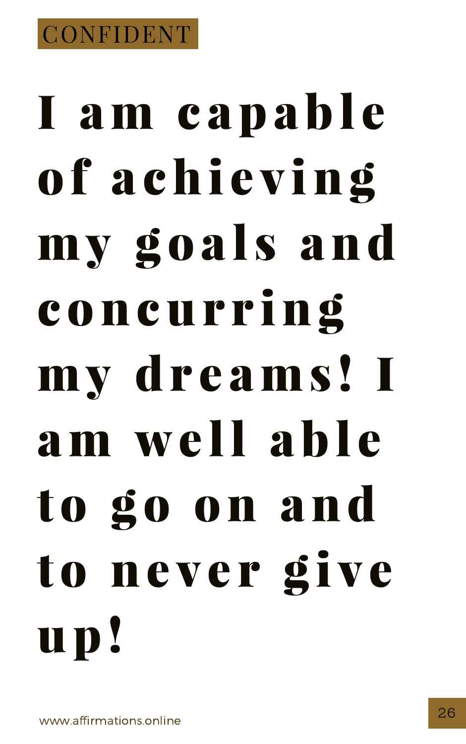# I am capable of achieving my goals and concur r ing my dr e ams ! I

# am well able to go on and to never give up!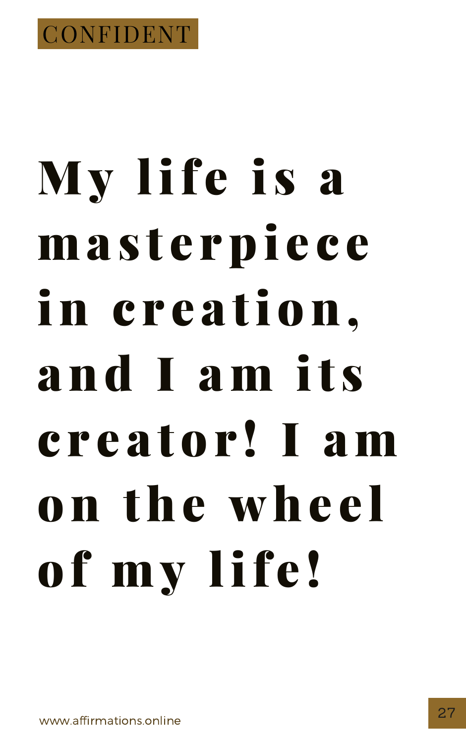

## My life is a masterpiece in c r e a tion, and I am it s

# c r e a tor ! I am on the wheel of my life!

[www.affirmations.online](http://www.affirmations.online/)